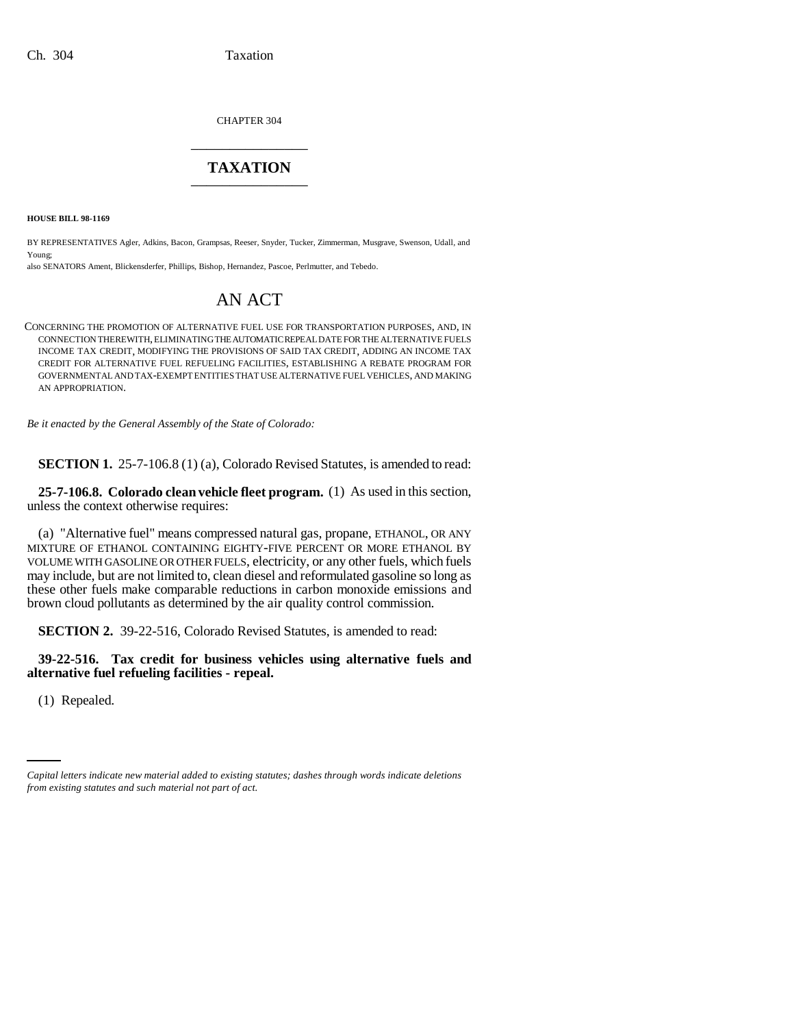CHAPTER 304 \_\_\_\_\_\_\_\_\_\_\_\_\_\_\_

# **TAXATION** \_\_\_\_\_\_\_\_\_\_\_\_\_\_\_

**HOUSE BILL 98-1169**

BY REPRESENTATIVES Agler, Adkins, Bacon, Grampsas, Reeser, Snyder, Tucker, Zimmerman, Musgrave, Swenson, Udall, and Young;

also SENATORS Ament, Blickensderfer, Phillips, Bishop, Hernandez, Pascoe, Perlmutter, and Tebedo.

# AN ACT

CONCERNING THE PROMOTION OF ALTERNATIVE FUEL USE FOR TRANSPORTATION PURPOSES, AND, IN CONNECTION THEREWITH, ELIMINATING THE AUTOMATIC REPEAL DATE FOR THE ALTERNATIVE FUELS INCOME TAX CREDIT, MODIFYING THE PROVISIONS OF SAID TAX CREDIT, ADDING AN INCOME TAX CREDIT FOR ALTERNATIVE FUEL REFUELING FACILITIES, ESTABLISHING A REBATE PROGRAM FOR GOVERNMENTAL AND TAX-EXEMPT ENTITIES THAT USE ALTERNATIVE FUEL VEHICLES, AND MAKING AN APPROPRIATION.

*Be it enacted by the General Assembly of the State of Colorado:*

**SECTION 1.** 25-7-106.8 (1) (a), Colorado Revised Statutes, is amended to read:

**25-7-106.8. Colorado clean vehicle fleet program.** (1) As used in this section, unless the context otherwise requires:

(a) "Alternative fuel" means compressed natural gas, propane, ETHANOL, OR ANY MIXTURE OF ETHANOL CONTAINING EIGHTY-FIVE PERCENT OR MORE ETHANOL BY VOLUME WITH GASOLINE OR OTHER FUELS, electricity, or any other fuels, which fuels may include, but are not limited to, clean diesel and reformulated gasoline so long as these other fuels make comparable reductions in carbon monoxide emissions and brown cloud pollutants as determined by the air quality control commission.

**SECTION 2.** 39-22-516, Colorado Revised Statutes, is amended to read:

**39-22-516. Tax credit for business vehicles using alternative fuels and alternative fuel refueling facilities - repeal.**

(1) Repealed.

*Capital letters indicate new material added to existing statutes; dashes through words indicate deletions from existing statutes and such material not part of act.*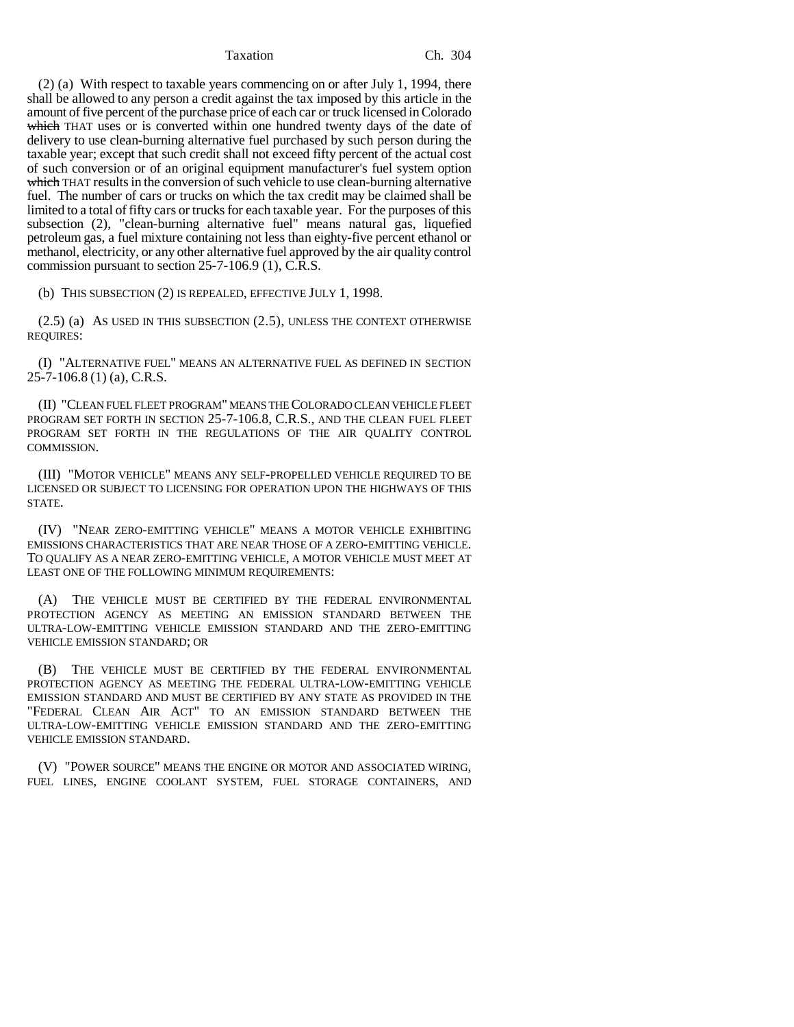(2) (a) With respect to taxable years commencing on or after July 1, 1994, there shall be allowed to any person a credit against the tax imposed by this article in the amount of five percent of the purchase price of each car or truck licensed in Colorado which THAT uses or is converted within one hundred twenty days of the date of delivery to use clean-burning alternative fuel purchased by such person during the taxable year; except that such credit shall not exceed fifty percent of the actual cost of such conversion or of an original equipment manufacturer's fuel system option which THAT results in the conversion of such vehicle to use clean-burning alternative fuel. The number of cars or trucks on which the tax credit may be claimed shall be limited to a total of fifty cars or trucks for each taxable year. For the purposes of this subsection (2), "clean-burning alternative fuel" means natural gas, liquefied petroleum gas, a fuel mixture containing not less than eighty-five percent ethanol or methanol, electricity, or any other alternative fuel approved by the air quality control commission pursuant to section 25-7-106.9 (1), C.R.S.

(b) THIS SUBSECTION (2) IS REPEALED, EFFECTIVE JULY 1, 1998.

(2.5) (a) AS USED IN THIS SUBSECTION (2.5), UNLESS THE CONTEXT OTHERWISE REQUIRES:

(I) "ALTERNATIVE FUEL" MEANS AN ALTERNATIVE FUEL AS DEFINED IN SECTION 25-7-106.8 (1) (a), C.R.S.

(II) "CLEAN FUEL FLEET PROGRAM" MEANS THE COLORADO CLEAN VEHICLE FLEET PROGRAM SET FORTH IN SECTION 25-7-106.8, C.R.S., AND THE CLEAN FUEL FLEET PROGRAM SET FORTH IN THE REGULATIONS OF THE AIR QUALITY CONTROL COMMISSION.

(III) "MOTOR VEHICLE" MEANS ANY SELF-PROPELLED VEHICLE REQUIRED TO BE LICENSED OR SUBJECT TO LICENSING FOR OPERATION UPON THE HIGHWAYS OF THIS STATE.

(IV) "NEAR ZERO-EMITTING VEHICLE" MEANS A MOTOR VEHICLE EXHIBITING EMISSIONS CHARACTERISTICS THAT ARE NEAR THOSE OF A ZERO-EMITTING VEHICLE. TO QUALIFY AS A NEAR ZERO-EMITTING VEHICLE, A MOTOR VEHICLE MUST MEET AT LEAST ONE OF THE FOLLOWING MINIMUM REQUIREMENTS:

(A) THE VEHICLE MUST BE CERTIFIED BY THE FEDERAL ENVIRONMENTAL PROTECTION AGENCY AS MEETING AN EMISSION STANDARD BETWEEN THE ULTRA-LOW-EMITTING VEHICLE EMISSION STANDARD AND THE ZERO-EMITTING VEHICLE EMISSION STANDARD; OR

(B) THE VEHICLE MUST BE CERTIFIED BY THE FEDERAL ENVIRONMENTAL PROTECTION AGENCY AS MEETING THE FEDERAL ULTRA-LOW-EMITTING VEHICLE EMISSION STANDARD AND MUST BE CERTIFIED BY ANY STATE AS PROVIDED IN THE "FEDERAL CLEAN AIR ACT" TO AN EMISSION STANDARD BETWEEN THE ULTRA-LOW-EMITTING VEHICLE EMISSION STANDARD AND THE ZERO-EMITTING VEHICLE EMISSION STANDARD.

(V) "POWER SOURCE" MEANS THE ENGINE OR MOTOR AND ASSOCIATED WIRING, FUEL LINES, ENGINE COOLANT SYSTEM, FUEL STORAGE CONTAINERS, AND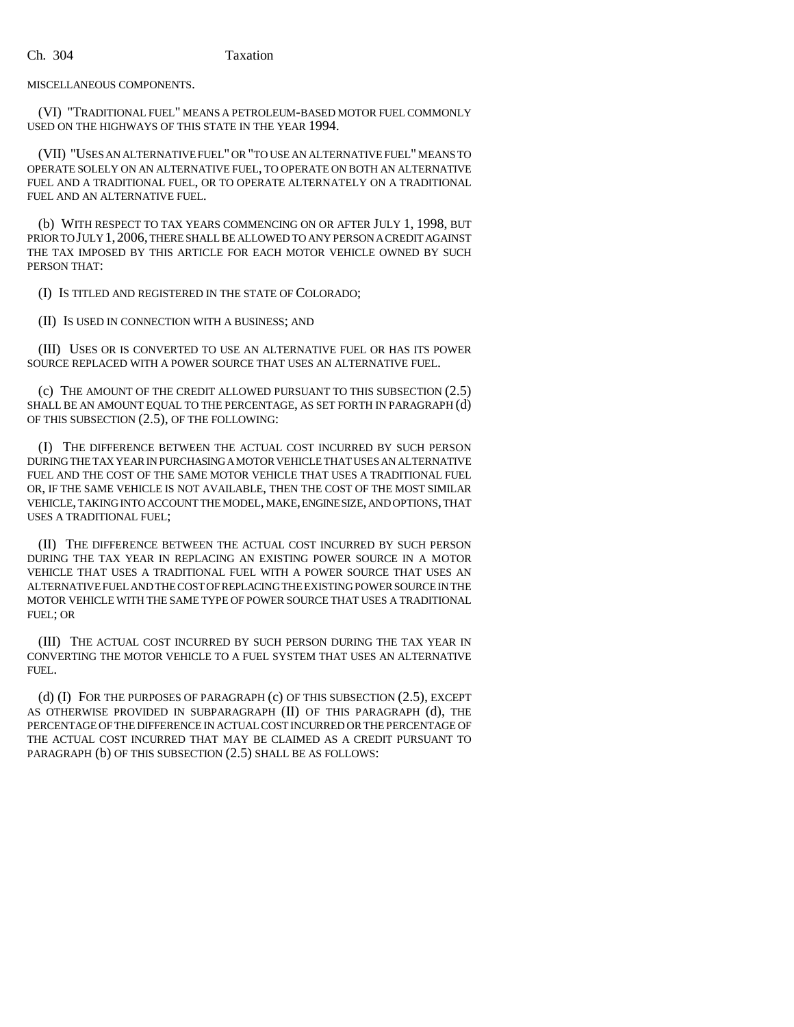MISCELLANEOUS COMPONENTS.

(VI) "TRADITIONAL FUEL" MEANS A PETROLEUM-BASED MOTOR FUEL COMMONLY USED ON THE HIGHWAYS OF THIS STATE IN THE YEAR 1994.

(VII) "USES AN ALTERNATIVE FUEL" OR "TO USE AN ALTERNATIVE FUEL" MEANS TO OPERATE SOLELY ON AN ALTERNATIVE FUEL, TO OPERATE ON BOTH AN ALTERNATIVE FUEL AND A TRADITIONAL FUEL, OR TO OPERATE ALTERNATELY ON A TRADITIONAL FUEL AND AN ALTERNATIVE FUEL.

(b) WITH RESPECT TO TAX YEARS COMMENCING ON OR AFTER JULY 1, 1998, BUT PRIOR TO JULY 1,2006, THERE SHALL BE ALLOWED TO ANY PERSON A CREDIT AGAINST THE TAX IMPOSED BY THIS ARTICLE FOR EACH MOTOR VEHICLE OWNED BY SUCH PERSON THAT:

(I) IS TITLED AND REGISTERED IN THE STATE OF COLORADO;

(II) IS USED IN CONNECTION WITH A BUSINESS; AND

(III) USES OR IS CONVERTED TO USE AN ALTERNATIVE FUEL OR HAS ITS POWER SOURCE REPLACED WITH A POWER SOURCE THAT USES AN ALTERNATIVE FUEL.

(c) THE AMOUNT OF THE CREDIT ALLOWED PURSUANT TO THIS SUBSECTION (2.5) SHALL BE AN AMOUNT EQUAL TO THE PERCENTAGE, AS SET FORTH IN PARAGRAPH (d) OF THIS SUBSECTION (2.5), OF THE FOLLOWING:

(I) THE DIFFERENCE BETWEEN THE ACTUAL COST INCURRED BY SUCH PERSON DURING THE TAX YEAR IN PURCHASING A MOTOR VEHICLE THAT USES AN ALTERNATIVE FUEL AND THE COST OF THE SAME MOTOR VEHICLE THAT USES A TRADITIONAL FUEL OR, IF THE SAME VEHICLE IS NOT AVAILABLE, THEN THE COST OF THE MOST SIMILAR VEHICLE, TAKING INTO ACCOUNT THE MODEL, MAKE, ENGINE SIZE, AND OPTIONS, THAT USES A TRADITIONAL FUEL;

(II) THE DIFFERENCE BETWEEN THE ACTUAL COST INCURRED BY SUCH PERSON DURING THE TAX YEAR IN REPLACING AN EXISTING POWER SOURCE IN A MOTOR VEHICLE THAT USES A TRADITIONAL FUEL WITH A POWER SOURCE THAT USES AN ALTERNATIVE FUEL AND THE COST OF REPLACING THE EXISTING POWER SOURCE IN THE MOTOR VEHICLE WITH THE SAME TYPE OF POWER SOURCE THAT USES A TRADITIONAL FUEL; OR

(III) THE ACTUAL COST INCURRED BY SUCH PERSON DURING THE TAX YEAR IN CONVERTING THE MOTOR VEHICLE TO A FUEL SYSTEM THAT USES AN ALTERNATIVE FUEL.

(d) (I) FOR THE PURPOSES OF PARAGRAPH (c) OF THIS SUBSECTION (2.5), EXCEPT AS OTHERWISE PROVIDED IN SUBPARAGRAPH (II) OF THIS PARAGRAPH (d), THE PERCENTAGE OF THE DIFFERENCE IN ACTUAL COST INCURRED OR THE PERCENTAGE OF THE ACTUAL COST INCURRED THAT MAY BE CLAIMED AS A CREDIT PURSUANT TO PARAGRAPH (b) OF THIS SUBSECTION (2.5) SHALL BE AS FOLLOWS: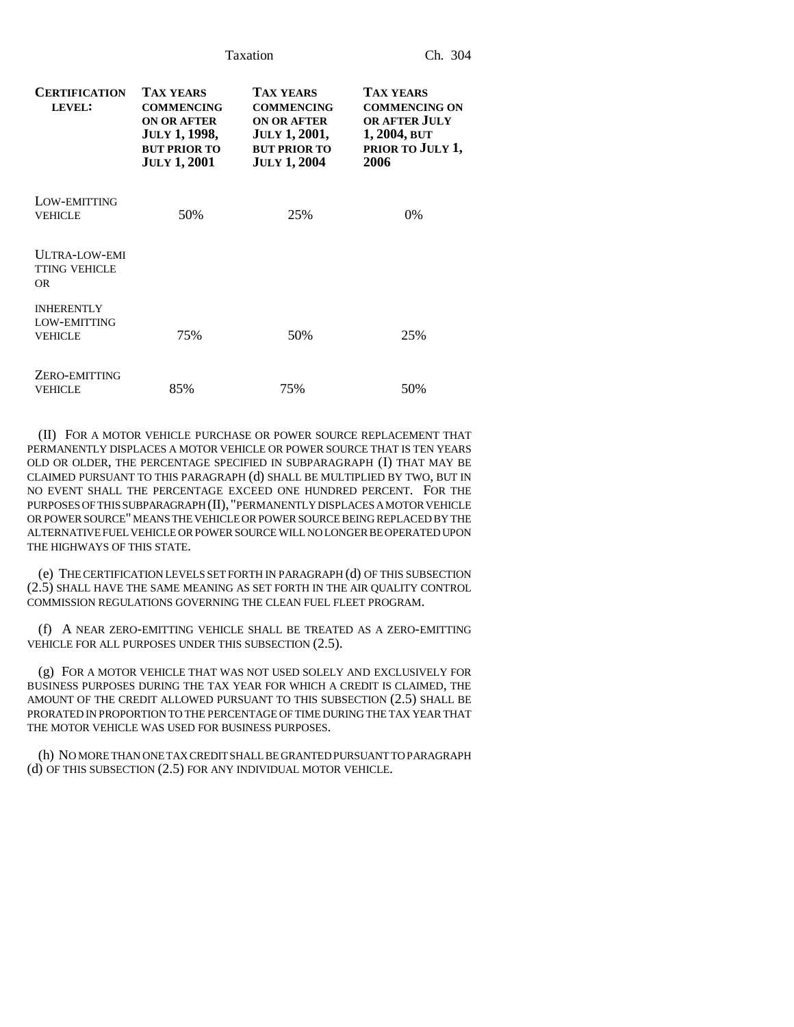| <b>CERTIFICATION</b><br>LEVEL:                             | <b>TAX YEARS</b><br><b>COMMENCING</b><br><b>ON OR AFTER</b><br><b>JULY 1, 1998,</b><br><b>BUT PRIOR TO</b><br><b>JULY 1, 2001</b> | <b>TAX YEARS</b><br><b>COMMENCING</b><br><b>ON OR AFTER</b><br><b>JULY 1, 2001,</b><br><b>BUT PRIOR TO</b><br><b>JULY 1, 2004</b> | <b>TAX YEARS</b><br><b>COMMENCING ON</b><br><b>OR AFTER JULY</b><br>1, 2004, BUT<br>PRIOR TO JULY 1,<br>2006 |
|------------------------------------------------------------|-----------------------------------------------------------------------------------------------------------------------------------|-----------------------------------------------------------------------------------------------------------------------------------|--------------------------------------------------------------------------------------------------------------|
| LOW-EMITTING<br><b>VEHICLE</b>                             | 50%                                                                                                                               | 25%                                                                                                                               | $0\%$                                                                                                        |
| <b>ULTRA-LOW-EMI</b><br><b>TTING VEHICLE</b><br>OR.        |                                                                                                                                   |                                                                                                                                   |                                                                                                              |
| <b>INHERENTLY</b><br><b>LOW-EMITTING</b><br><b>VEHICLE</b> | 75%                                                                                                                               | 50%                                                                                                                               | 25%                                                                                                          |
| ZERO-EMITTING<br><b>VEHICLE</b>                            | 85%                                                                                                                               | 75%                                                                                                                               | 50%                                                                                                          |

(II) FOR A MOTOR VEHICLE PURCHASE OR POWER SOURCE REPLACEMENT THAT PERMANENTLY DISPLACES A MOTOR VEHICLE OR POWER SOURCE THAT IS TEN YEARS OLD OR OLDER, THE PERCENTAGE SPECIFIED IN SUBPARAGRAPH (I) THAT MAY BE CLAIMED PURSUANT TO THIS PARAGRAPH (d) SHALL BE MULTIPLIED BY TWO, BUT IN NO EVENT SHALL THE PERCENTAGE EXCEED ONE HUNDRED PERCENT. FOR THE PURPOSES OF THIS SUBPARAGRAPH (II), "PERMANENTLY DISPLACES A MOTOR VEHICLE OR POWER SOURCE" MEANS THE VEHICLE OR POWER SOURCE BEING REPLACED BY THE ALTERNATIVE FUEL VEHICLE OR POWER SOURCE WILL NO LONGER BE OPERATED UPON THE HIGHWAYS OF THIS STATE.

(e) THE CERTIFICATION LEVELS SET FORTH IN PARAGRAPH (d) OF THIS SUBSECTION (2.5) SHALL HAVE THE SAME MEANING AS SET FORTH IN THE AIR QUALITY CONTROL COMMISSION REGULATIONS GOVERNING THE CLEAN FUEL FLEET PROGRAM.

(f) A NEAR ZERO-EMITTING VEHICLE SHALL BE TREATED AS A ZERO-EMITTING VEHICLE FOR ALL PURPOSES UNDER THIS SUBSECTION (2.5).

(g) FOR A MOTOR VEHICLE THAT WAS NOT USED SOLELY AND EXCLUSIVELY FOR BUSINESS PURPOSES DURING THE TAX YEAR FOR WHICH A CREDIT IS CLAIMED, THE AMOUNT OF THE CREDIT ALLOWED PURSUANT TO THIS SUBSECTION (2.5) SHALL BE PRORATED IN PROPORTION TO THE PERCENTAGE OF TIME DURING THE TAX YEAR THAT THE MOTOR VEHICLE WAS USED FOR BUSINESS PURPOSES.

(h) NO MORE THAN ONE TAX CREDIT SHALL BE GRANTED PURSUANT TO PARAGRAPH (d) OF THIS SUBSECTION (2.5) FOR ANY INDIVIDUAL MOTOR VEHICLE.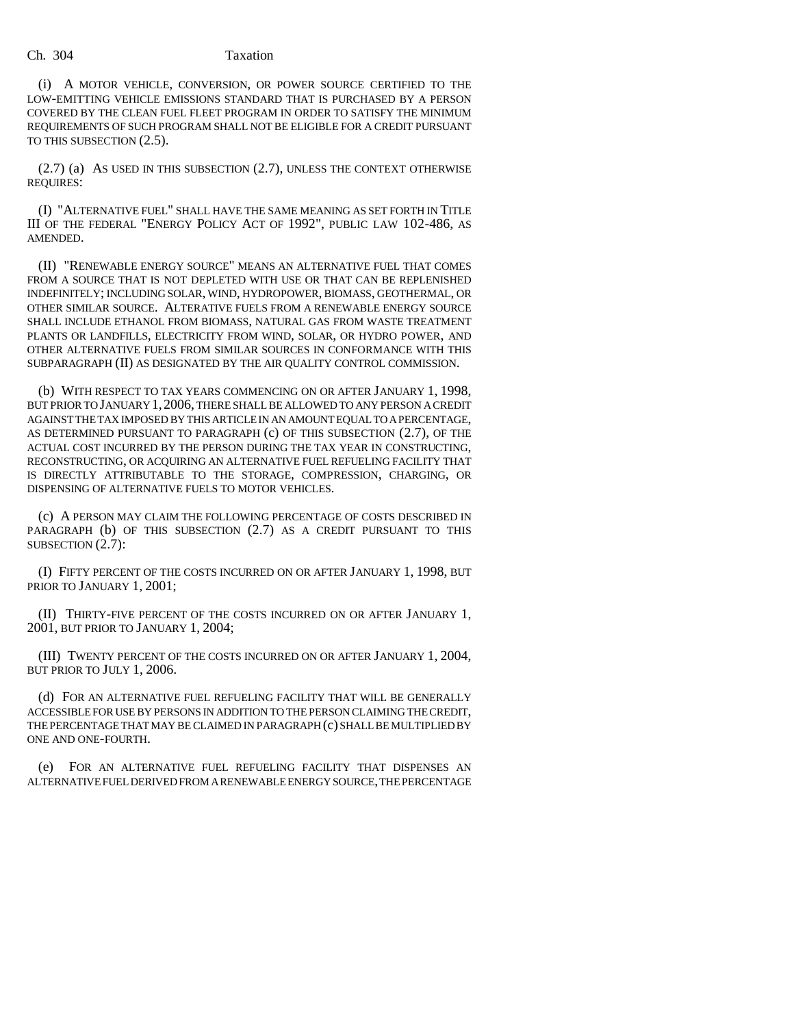(i) A MOTOR VEHICLE, CONVERSION, OR POWER SOURCE CERTIFIED TO THE LOW-EMITTING VEHICLE EMISSIONS STANDARD THAT IS PURCHASED BY A PERSON COVERED BY THE CLEAN FUEL FLEET PROGRAM IN ORDER TO SATISFY THE MINIMUM REQUIREMENTS OF SUCH PROGRAM SHALL NOT BE ELIGIBLE FOR A CREDIT PURSUANT TO THIS SUBSECTION (2.5).

(2.7) (a) AS USED IN THIS SUBSECTION (2.7), UNLESS THE CONTEXT OTHERWISE REQUIRES:

(I) "ALTERNATIVE FUEL" SHALL HAVE THE SAME MEANING AS SET FORTH IN TITLE III OF THE FEDERAL "ENERGY POLICY ACT OF 1992", PUBLIC LAW 102-486, AS AMENDED.

(II) "RENEWABLE ENERGY SOURCE" MEANS AN ALTERNATIVE FUEL THAT COMES FROM A SOURCE THAT IS NOT DEPLETED WITH USE OR THAT CAN BE REPLENISHED INDEFINITELY; INCLUDING SOLAR, WIND, HYDROPOWER, BIOMASS, GEOTHERMAL, OR OTHER SIMILAR SOURCE. ALTERATIVE FUELS FROM A RENEWABLE ENERGY SOURCE SHALL INCLUDE ETHANOL FROM BIOMASS, NATURAL GAS FROM WASTE TREATMENT PLANTS OR LANDFILLS, ELECTRICITY FROM WIND, SOLAR, OR HYDRO POWER, AND OTHER ALTERNATIVE FUELS FROM SIMILAR SOURCES IN CONFORMANCE WITH THIS SUBPARAGRAPH (II) AS DESIGNATED BY THE AIR QUALITY CONTROL COMMISSION.

(b) WITH RESPECT TO TAX YEARS COMMENCING ON OR AFTER JANUARY 1, 1998, BUT PRIOR TO JANUARY 1,2006, THERE SHALL BE ALLOWED TO ANY PERSON A CREDIT AGAINST THE TAX IMPOSED BY THIS ARTICLE IN AN AMOUNT EQUAL TO A PERCENTAGE, AS DETERMINED PURSUANT TO PARAGRAPH (c) OF THIS SUBSECTION (2.7), OF THE ACTUAL COST INCURRED BY THE PERSON DURING THE TAX YEAR IN CONSTRUCTING, RECONSTRUCTING, OR ACQUIRING AN ALTERNATIVE FUEL REFUELING FACILITY THAT IS DIRECTLY ATTRIBUTABLE TO THE STORAGE, COMPRESSION, CHARGING, OR DISPENSING OF ALTERNATIVE FUELS TO MOTOR VEHICLES.

(c) A PERSON MAY CLAIM THE FOLLOWING PERCENTAGE OF COSTS DESCRIBED IN PARAGRAPH (b) OF THIS SUBSECTION (2.7) AS A CREDIT PURSUANT TO THIS SUBSECTION (2.7):

(I) FIFTY PERCENT OF THE COSTS INCURRED ON OR AFTER JANUARY 1, 1998, BUT PRIOR TO JANUARY 1, 2001;

(II) THIRTY-FIVE PERCENT OF THE COSTS INCURRED ON OR AFTER JANUARY 1, 2001, BUT PRIOR TO JANUARY 1, 2004;

(III) TWENTY PERCENT OF THE COSTS INCURRED ON OR AFTER JANUARY 1, 2004, BUT PRIOR TO JULY 1, 2006.

(d) FOR AN ALTERNATIVE FUEL REFUELING FACILITY THAT WILL BE GENERALLY ACCESSIBLE FOR USE BY PERSONS IN ADDITION TO THE PERSON CLAIMING THE CREDIT, THE PERCENTAGE THAT MAY BE CLAIMED IN PARAGRAPH (c) SHALL BE MULTIPLIED BY ONE AND ONE-FOURTH.

(e) FOR AN ALTERNATIVE FUEL REFUELING FACILITY THAT DISPENSES AN ALTERNATIVE FUEL DERIVED FROM A RENEWABLE ENERGY SOURCE, THE PERCENTAGE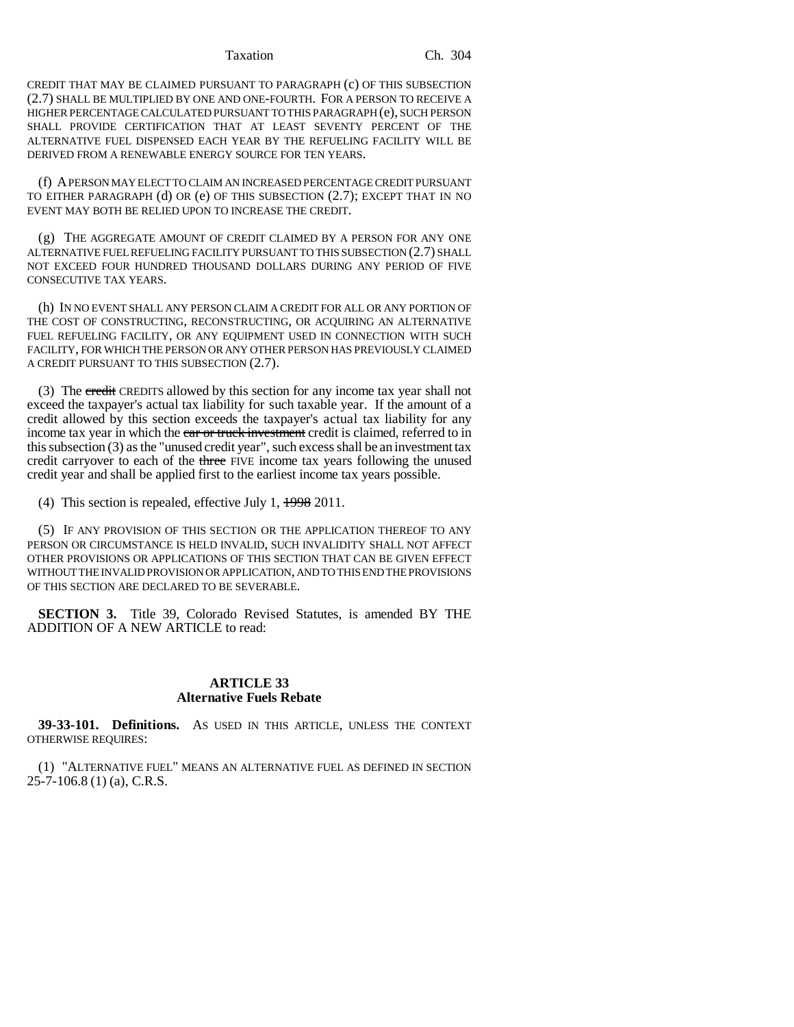CREDIT THAT MAY BE CLAIMED PURSUANT TO PARAGRAPH (c) OF THIS SUBSECTION (2.7) SHALL BE MULTIPLIED BY ONE AND ONE-FOURTH. FOR A PERSON TO RECEIVE A HIGHER PERCENTAGE CALCULATED PURSUANT TO THIS PARAGRAPH (e), SUCH PERSON SHALL PROVIDE CERTIFICATION THAT AT LEAST SEVENTY PERCENT OF THE ALTERNATIVE FUEL DISPENSED EACH YEAR BY THE REFUELING FACILITY WILL BE DERIVED FROM A RENEWABLE ENERGY SOURCE FOR TEN YEARS.

(f) A PERSON MAY ELECT TO CLAIM AN INCREASED PERCENTAGE CREDIT PURSUANT TO EITHER PARAGRAPH (d) OR (e) OF THIS SUBSECTION (2.7); EXCEPT THAT IN NO EVENT MAY BOTH BE RELIED UPON TO INCREASE THE CREDIT.

(g) THE AGGREGATE AMOUNT OF CREDIT CLAIMED BY A PERSON FOR ANY ONE ALTERNATIVE FUEL REFUELING FACILITY PURSUANT TO THIS SUBSECTION (2.7) SHALL NOT EXCEED FOUR HUNDRED THOUSAND DOLLARS DURING ANY PERIOD OF FIVE CONSECUTIVE TAX YEARS.

(h) IN NO EVENT SHALL ANY PERSON CLAIM A CREDIT FOR ALL OR ANY PORTION OF THE COST OF CONSTRUCTING, RECONSTRUCTING, OR ACQUIRING AN ALTERNATIVE FUEL REFUELING FACILITY, OR ANY EQUIPMENT USED IN CONNECTION WITH SUCH FACILITY, FOR WHICH THE PERSON OR ANY OTHER PERSON HAS PREVIOUSLY CLAIMED A CREDIT PURSUANT TO THIS SUBSECTION (2.7).

(3) The credit CREDITS allowed by this section for any income tax year shall not exceed the taxpayer's actual tax liability for such taxable year. If the amount of a credit allowed by this section exceeds the taxpayer's actual tax liability for any income tax year in which the car or truck investment credit is claimed, referred to in this subsection (3) as the "unused credit year", such excess shall be an investment tax credit carryover to each of the three FIVE income tax years following the unused credit year and shall be applied first to the earliest income tax years possible.

(4) This section is repealed, effective July 1, 1998 2011.

(5) IF ANY PROVISION OF THIS SECTION OR THE APPLICATION THEREOF TO ANY PERSON OR CIRCUMSTANCE IS HELD INVALID, SUCH INVALIDITY SHALL NOT AFFECT OTHER PROVISIONS OR APPLICATIONS OF THIS SECTION THAT CAN BE GIVEN EFFECT WITHOUT THE INVALID PROVISION OR APPLICATION, AND TO THIS END THE PROVISIONS OF THIS SECTION ARE DECLARED TO BE SEVERABLE.

**SECTION 3.** Title 39, Colorado Revised Statutes, is amended BY THE ADDITION OF A NEW ARTICLE to read:

# **ARTICLE 33 Alternative Fuels Rebate**

**39-33-101. Definitions.** AS USED IN THIS ARTICLE, UNLESS THE CONTEXT OTHERWISE REQUIRES:

(1) "ALTERNATIVE FUEL" MEANS AN ALTERNATIVE FUEL AS DEFINED IN SECTION 25-7-106.8 (1) (a), C.R.S.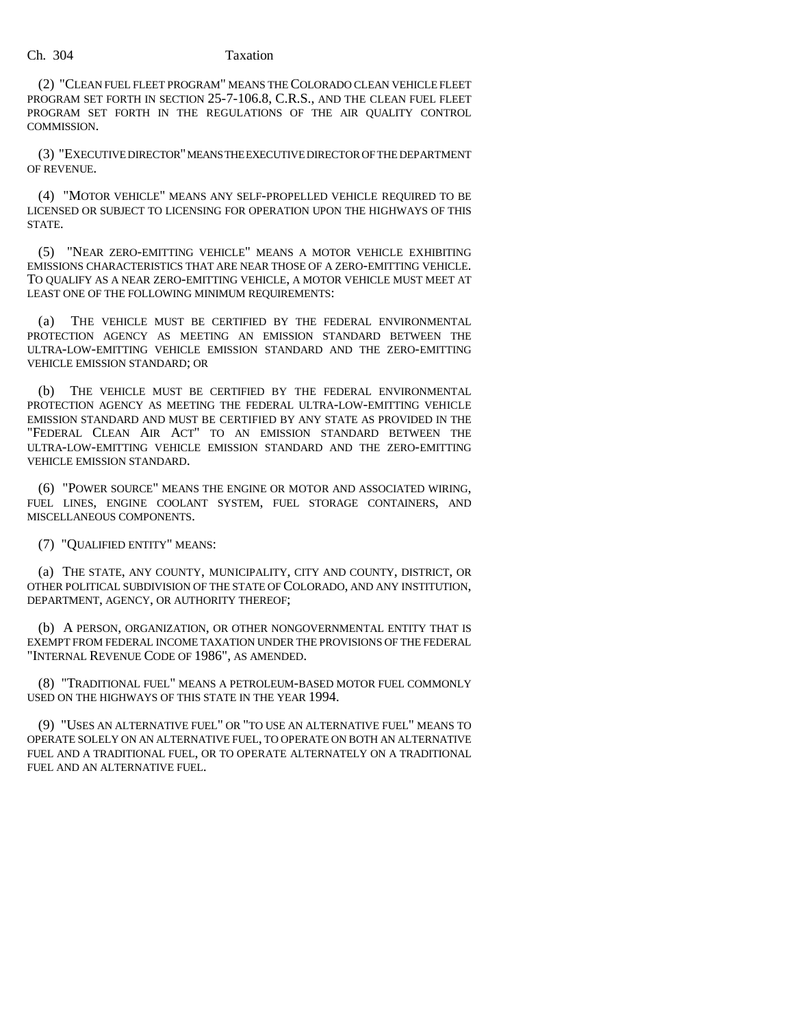(2) "CLEAN FUEL FLEET PROGRAM" MEANS THE COLORADO CLEAN VEHICLE FLEET PROGRAM SET FORTH IN SECTION 25-7-106.8, C.R.S., AND THE CLEAN FUEL FLEET PROGRAM SET FORTH IN THE REGULATIONS OF THE AIR QUALITY CONTROL COMMISSION.

(3) "EXECUTIVE DIRECTOR" MEANS THE EXECUTIVE DIRECTOR OF THE DEPARTMENT OF REVENUE.

(4) "MOTOR VEHICLE" MEANS ANY SELF-PROPELLED VEHICLE REQUIRED TO BE LICENSED OR SUBJECT TO LICENSING FOR OPERATION UPON THE HIGHWAYS OF THIS STATE.

(5) "NEAR ZERO-EMITTING VEHICLE" MEANS A MOTOR VEHICLE EXHIBITING EMISSIONS CHARACTERISTICS THAT ARE NEAR THOSE OF A ZERO-EMITTING VEHICLE. TO QUALIFY AS A NEAR ZERO-EMITTING VEHICLE, A MOTOR VEHICLE MUST MEET AT LEAST ONE OF THE FOLLOWING MINIMUM REQUIREMENTS:

(a) THE VEHICLE MUST BE CERTIFIED BY THE FEDERAL ENVIRONMENTAL PROTECTION AGENCY AS MEETING AN EMISSION STANDARD BETWEEN THE ULTRA-LOW-EMITTING VEHICLE EMISSION STANDARD AND THE ZERO-EMITTING VEHICLE EMISSION STANDARD; OR

(b) THE VEHICLE MUST BE CERTIFIED BY THE FEDERAL ENVIRONMENTAL PROTECTION AGENCY AS MEETING THE FEDERAL ULTRA-LOW-EMITTING VEHICLE EMISSION STANDARD AND MUST BE CERTIFIED BY ANY STATE AS PROVIDED IN THE "FEDERAL CLEAN AIR ACT" TO AN EMISSION STANDARD BETWEEN THE ULTRA-LOW-EMITTING VEHICLE EMISSION STANDARD AND THE ZERO-EMITTING VEHICLE EMISSION STANDARD.

(6) "POWER SOURCE" MEANS THE ENGINE OR MOTOR AND ASSOCIATED WIRING, FUEL LINES, ENGINE COOLANT SYSTEM, FUEL STORAGE CONTAINERS, AND MISCELLANEOUS COMPONENTS.

(7) "QUALIFIED ENTITY" MEANS:

(a) THE STATE, ANY COUNTY, MUNICIPALITY, CITY AND COUNTY, DISTRICT, OR OTHER POLITICAL SUBDIVISION OF THE STATE OF COLORADO, AND ANY INSTITUTION, DEPARTMENT, AGENCY, OR AUTHORITY THEREOF;

(b) A PERSON, ORGANIZATION, OR OTHER NONGOVERNMENTAL ENTITY THAT IS EXEMPT FROM FEDERAL INCOME TAXATION UNDER THE PROVISIONS OF THE FEDERAL "INTERNAL REVENUE CODE OF 1986", AS AMENDED.

(8) "TRADITIONAL FUEL" MEANS A PETROLEUM-BASED MOTOR FUEL COMMONLY USED ON THE HIGHWAYS OF THIS STATE IN THE YEAR 1994.

(9) "USES AN ALTERNATIVE FUEL" OR "TO USE AN ALTERNATIVE FUEL" MEANS TO OPERATE SOLELY ON AN ALTERNATIVE FUEL, TO OPERATE ON BOTH AN ALTERNATIVE FUEL AND A TRADITIONAL FUEL, OR TO OPERATE ALTERNATELY ON A TRADITIONAL FUEL AND AN ALTERNATIVE FUEL.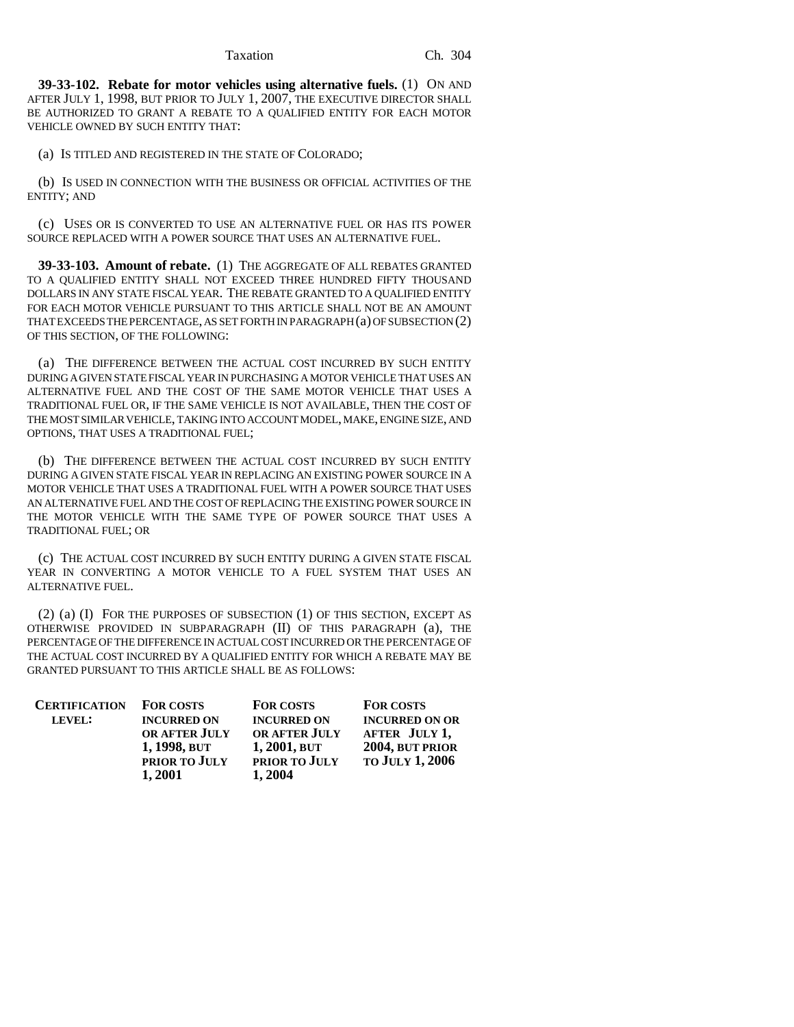**39-33-102. Rebate for motor vehicles using alternative fuels.** (1) ON AND AFTER JULY 1, 1998, BUT PRIOR TO JULY 1, 2007, THE EXECUTIVE DIRECTOR SHALL BE AUTHORIZED TO GRANT A REBATE TO A QUALIFIED ENTITY FOR EACH MOTOR VEHICLE OWNED BY SUCH ENTITY THAT:

(a) IS TITLED AND REGISTERED IN THE STATE OF COLORADO;

(b) IS USED IN CONNECTION WITH THE BUSINESS OR OFFICIAL ACTIVITIES OF THE ENTITY; AND

(c) USES OR IS CONVERTED TO USE AN ALTERNATIVE FUEL OR HAS ITS POWER SOURCE REPLACED WITH A POWER SOURCE THAT USES AN ALTERNATIVE FUEL.

**39-33-103. Amount of rebate.** (1) THE AGGREGATE OF ALL REBATES GRANTED TO A QUALIFIED ENTITY SHALL NOT EXCEED THREE HUNDRED FIFTY THOUSAND DOLLARS IN ANY STATE FISCAL YEAR. THE REBATE GRANTED TO A QUALIFIED ENTITY FOR EACH MOTOR VEHICLE PURSUANT TO THIS ARTICLE SHALL NOT BE AN AMOUNT THAT EXCEEDS THE PERCENTAGE, AS SET FORTH IN PARAGRAPH (a) OF SUBSECTION (2) OF THIS SECTION, OF THE FOLLOWING:

(a) THE DIFFERENCE BETWEEN THE ACTUAL COST INCURRED BY SUCH ENTITY DURING A GIVEN STATE FISCAL YEAR IN PURCHASING A MOTOR VEHICLE THAT USES AN ALTERNATIVE FUEL AND THE COST OF THE SAME MOTOR VEHICLE THAT USES A TRADITIONAL FUEL OR, IF THE SAME VEHICLE IS NOT AVAILABLE, THEN THE COST OF THE MOST SIMILAR VEHICLE, TAKING INTO ACCOUNT MODEL, MAKE, ENGINE SIZE, AND OPTIONS, THAT USES A TRADITIONAL FUEL;

(b) THE DIFFERENCE BETWEEN THE ACTUAL COST INCURRED BY SUCH ENTITY DURING A GIVEN STATE FISCAL YEAR IN REPLACING AN EXISTING POWER SOURCE IN A MOTOR VEHICLE THAT USES A TRADITIONAL FUEL WITH A POWER SOURCE THAT USES AN ALTERNATIVE FUEL AND THE COST OF REPLACING THE EXISTING POWER SOURCE IN THE MOTOR VEHICLE WITH THE SAME TYPE OF POWER SOURCE THAT USES A TRADITIONAL FUEL; OR

(c) THE ACTUAL COST INCURRED BY SUCH ENTITY DURING A GIVEN STATE FISCAL YEAR IN CONVERTING A MOTOR VEHICLE TO A FUEL SYSTEM THAT USES AN ALTERNATIVE FUEL.

(2) (a) (I) FOR THE PURPOSES OF SUBSECTION (1) OF THIS SECTION, EXCEPT AS OTHERWISE PROVIDED IN SUBPARAGRAPH (II) OF THIS PARAGRAPH (a), THE PERCENTAGE OF THE DIFFERENCE IN ACTUAL COST INCURRED OR THE PERCENTAGE OF THE ACTUAL COST INCURRED BY A QUALIFIED ENTITY FOR WHICH A REBATE MAY BE GRANTED PURSUANT TO THIS ARTICLE SHALL BE AS FOLLOWS:

| <b>CERTIFICATION</b> | <b>FOR COSTS</b>   | <b>FOR COSTS</b>     | <b>FOR COSTS</b>       |
|----------------------|--------------------|----------------------|------------------------|
| LEVEL:               | <b>INCURRED ON</b> | <b>INCURRED ON</b>   | <b>INCURRED ON OR</b>  |
|                      | OR AFTER JULY      | <b>OR AFTER JULY</b> | AFTER JULY 1,          |
|                      | 1, 1998, BUT       | $1,2001,$ BUT        | 2004, BUT PRIOR        |
|                      | PRIOR TO JULY      | PRIOR TO JULY        | <b>TO JULY 1, 2006</b> |
|                      | 1,2001             | 1,2004               |                        |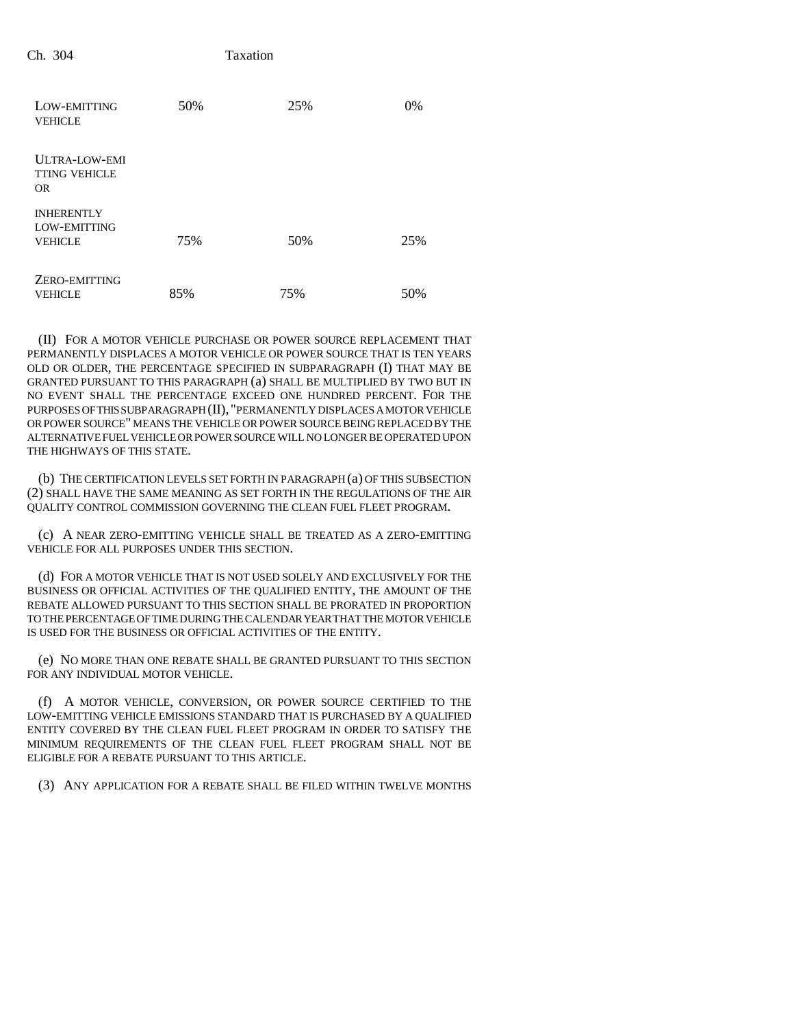| LOW-EMITTING<br><b>VEHICLE</b>                      | 50% | 25% | $0\%$ |
|-----------------------------------------------------|-----|-----|-------|
| <b>ULTRA-LOW-EMI</b><br><b>TTING VEHICLE</b><br>OR. |     |     |       |
| <b>INHERENTLY</b><br>LOW-EMITTING<br><b>VEHICLE</b> | 75% | 50% | 25%   |
| ZERO-EMITTING<br><b>VEHICLE</b>                     | 85% | 75% | 50%   |

(II) FOR A MOTOR VEHICLE PURCHASE OR POWER SOURCE REPLACEMENT THAT PERMANENTLY DISPLACES A MOTOR VEHICLE OR POWER SOURCE THAT IS TEN YEARS OLD OR OLDER, THE PERCENTAGE SPECIFIED IN SUBPARAGRAPH (I) THAT MAY BE GRANTED PURSUANT TO THIS PARAGRAPH (a) SHALL BE MULTIPLIED BY TWO BUT IN NO EVENT SHALL THE PERCENTAGE EXCEED ONE HUNDRED PERCENT. FOR THE PURPOSES OF THIS SUBPARAGRAPH (II), "PERMANENTLY DISPLACES A MOTOR VEHICLE OR POWER SOURCE" MEANS THE VEHICLE OR POWER SOURCE BEING REPLACED BY THE ALTERNATIVE FUEL VEHICLE OR POWER SOURCE WILL NO LONGER BE OPERATED UPON THE HIGHWAYS OF THIS STATE.

(b) THE CERTIFICATION LEVELS SET FORTH IN PARAGRAPH (a) OF THIS SUBSECTION (2) SHALL HAVE THE SAME MEANING AS SET FORTH IN THE REGULATIONS OF THE AIR QUALITY CONTROL COMMISSION GOVERNING THE CLEAN FUEL FLEET PROGRAM.

(c) A NEAR ZERO-EMITTING VEHICLE SHALL BE TREATED AS A ZERO-EMITTING VEHICLE FOR ALL PURPOSES UNDER THIS SECTION.

(d) FOR A MOTOR VEHICLE THAT IS NOT USED SOLELY AND EXCLUSIVELY FOR THE BUSINESS OR OFFICIAL ACTIVITIES OF THE QUALIFIED ENTITY, THE AMOUNT OF THE REBATE ALLOWED PURSUANT TO THIS SECTION SHALL BE PRORATED IN PROPORTION TO THE PERCENTAGE OF TIME DURING THE CALENDAR YEAR THAT THE MOTOR VEHICLE IS USED FOR THE BUSINESS OR OFFICIAL ACTIVITIES OF THE ENTITY.

(e) NO MORE THAN ONE REBATE SHALL BE GRANTED PURSUANT TO THIS SECTION FOR ANY INDIVIDUAL MOTOR VEHICLE.

(f) A MOTOR VEHICLE, CONVERSION, OR POWER SOURCE CERTIFIED TO THE LOW-EMITTING VEHICLE EMISSIONS STANDARD THAT IS PURCHASED BY A QUALIFIED ENTITY COVERED BY THE CLEAN FUEL FLEET PROGRAM IN ORDER TO SATISFY THE MINIMUM REQUIREMENTS OF THE CLEAN FUEL FLEET PROGRAM SHALL NOT BE ELIGIBLE FOR A REBATE PURSUANT TO THIS ARTICLE.

(3) ANY APPLICATION FOR A REBATE SHALL BE FILED WITHIN TWELVE MONTHS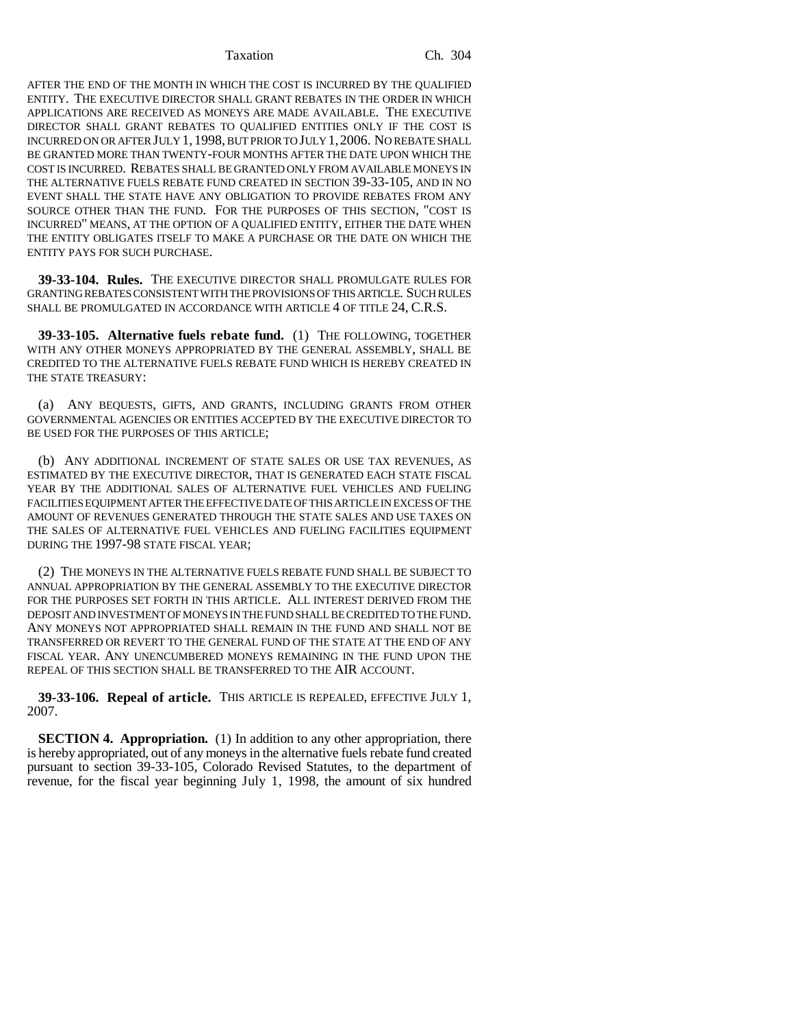AFTER THE END OF THE MONTH IN WHICH THE COST IS INCURRED BY THE QUALIFIED ENTITY. THE EXECUTIVE DIRECTOR SHALL GRANT REBATES IN THE ORDER IN WHICH APPLICATIONS ARE RECEIVED AS MONEYS ARE MADE AVAILABLE. THE EXECUTIVE DIRECTOR SHALL GRANT REBATES TO QUALIFIED ENTITIES ONLY IF THE COST IS INCURRED ON OR AFTER JULY 1, 1998, BUT PRIOR TO JULY 1,2006. NO REBATE SHALL BE GRANTED MORE THAN TWENTY-FOUR MONTHS AFTER THE DATE UPON WHICH THE COST IS INCURRED. REBATES SHALL BE GRANTED ONLY FROM AVAILABLE MONEYS IN THE ALTERNATIVE FUELS REBATE FUND CREATED IN SECTION 39-33-105, AND IN NO EVENT SHALL THE STATE HAVE ANY OBLIGATION TO PROVIDE REBATES FROM ANY SOURCE OTHER THAN THE FUND. FOR THE PURPOSES OF THIS SECTION, "COST IS INCURRED" MEANS, AT THE OPTION OF A QUALIFIED ENTITY, EITHER THE DATE WHEN THE ENTITY OBLIGATES ITSELF TO MAKE A PURCHASE OR THE DATE ON WHICH THE ENTITY PAYS FOR SUCH PURCHASE.

**39-33-104. Rules.** THE EXECUTIVE DIRECTOR SHALL PROMULGATE RULES FOR GRANTING REBATES CONSISTENT WITH THE PROVISIONS OF THIS ARTICLE. SUCH RULES SHALL BE PROMULGATED IN ACCORDANCE WITH ARTICLE 4 OF TITLE 24, C.R.S.

**39-33-105. Alternative fuels rebate fund.** (1) THE FOLLOWING, TOGETHER WITH ANY OTHER MONEYS APPROPRIATED BY THE GENERAL ASSEMBLY, SHALL BE CREDITED TO THE ALTERNATIVE FUELS REBATE FUND WHICH IS HEREBY CREATED IN THE STATE TREASURY:

(a) ANY BEQUESTS, GIFTS, AND GRANTS, INCLUDING GRANTS FROM OTHER GOVERNMENTAL AGENCIES OR ENTITIES ACCEPTED BY THE EXECUTIVE DIRECTOR TO BE USED FOR THE PURPOSES OF THIS ARTICLE;

(b) ANY ADDITIONAL INCREMENT OF STATE SALES OR USE TAX REVENUES, AS ESTIMATED BY THE EXECUTIVE DIRECTOR, THAT IS GENERATED EACH STATE FISCAL YEAR BY THE ADDITIONAL SALES OF ALTERNATIVE FUEL VEHICLES AND FUELING FACILITIES EQUIPMENT AFTER THE EFFECTIVE DATE OF THIS ARTICLE IN EXCESS OF THE AMOUNT OF REVENUES GENERATED THROUGH THE STATE SALES AND USE TAXES ON THE SALES OF ALTERNATIVE FUEL VEHICLES AND FUELING FACILITIES EQUIPMENT DURING THE 1997-98 STATE FISCAL YEAR;

(2) THE MONEYS IN THE ALTERNATIVE FUELS REBATE FUND SHALL BE SUBJECT TO ANNUAL APPROPRIATION BY THE GENERAL ASSEMBLY TO THE EXECUTIVE DIRECTOR FOR THE PURPOSES SET FORTH IN THIS ARTICLE. ALL INTEREST DERIVED FROM THE DEPOSIT AND INVESTMENT OF MONEYS IN THE FUND SHALL BE CREDITED TO THE FUND. ANY MONEYS NOT APPROPRIATED SHALL REMAIN IN THE FUND AND SHALL NOT BE TRANSFERRED OR REVERT TO THE GENERAL FUND OF THE STATE AT THE END OF ANY FISCAL YEAR. ANY UNENCUMBERED MONEYS REMAINING IN THE FUND UPON THE REPEAL OF THIS SECTION SHALL BE TRANSFERRED TO THE AIR ACCOUNT.

**39-33-106. Repeal of article.** THIS ARTICLE IS REPEALED, EFFECTIVE JULY 1, 2007.

**SECTION 4. Appropriation.** (1) In addition to any other appropriation, there is hereby appropriated, out of any moneys in the alternative fuels rebate fund created pursuant to section 39-33-105, Colorado Revised Statutes, to the department of revenue, for the fiscal year beginning July 1, 1998, the amount of six hundred